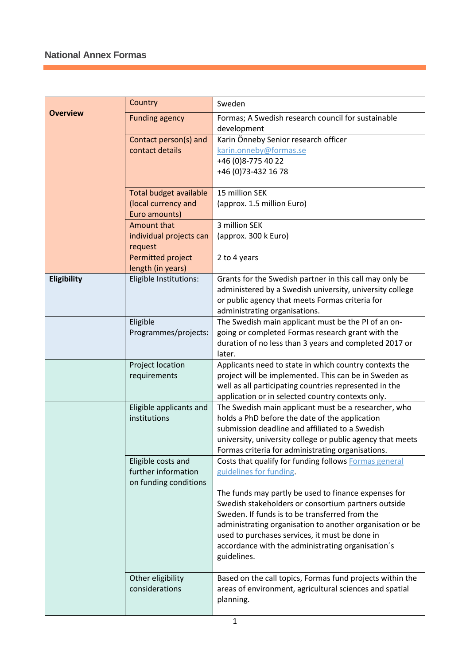|                 | Country                                       | Sweden                                                                                                          |
|-----------------|-----------------------------------------------|-----------------------------------------------------------------------------------------------------------------|
| <b>Overview</b> | <b>Funding agency</b>                         | Formas; A Swedish research council for sustainable<br>development                                               |
|                 | Contact person(s) and                         | Karin Önneby Senior research officer                                                                            |
|                 | contact details                               | karin.onneby@formas.se<br>+46 (0) 8-775 40 22                                                                   |
|                 |                                               | +46 (0) 73-432 16 78                                                                                            |
|                 |                                               |                                                                                                                 |
|                 | <b>Total budget available</b>                 | 15 million SEK                                                                                                  |
|                 | (local currency and<br>Euro amounts)          | (approx. 1.5 million Euro)                                                                                      |
|                 | <b>Amount that</b>                            | 3 million SEK                                                                                                   |
|                 | individual projects can                       | (approx. 300 k Euro)                                                                                            |
|                 | request                                       |                                                                                                                 |
|                 | <b>Permitted project</b><br>length (in years) | 2 to 4 years                                                                                                    |
| Eligibility     | Eligible Institutions:                        | Grants for the Swedish partner in this call may only be                                                         |
|                 |                                               | administered by a Swedish university, university college                                                        |
|                 |                                               | or public agency that meets Formas criteria for                                                                 |
|                 |                                               | administrating organisations.                                                                                   |
|                 | Eligible<br>Programmes/projects:              | The Swedish main applicant must be the PI of an on-<br>going or completed Formas research grant with the        |
|                 |                                               | duration of no less than 3 years and completed 2017 or                                                          |
|                 |                                               | later.                                                                                                          |
|                 | Project location                              | Applicants need to state in which country contexts the                                                          |
|                 | requirements                                  | project will be implemented. This can be in Sweden as<br>well as all participating countries represented in the |
|                 |                                               | application or in selected country contexts only.                                                               |
|                 | Eligible applicants and                       | The Swedish main applicant must be a researcher, who                                                            |
|                 | institutions                                  | holds a PhD before the date of the application                                                                  |
|                 |                                               | submission deadline and affiliated to a Swedish<br>university, university college or public agency that meets   |
|                 |                                               | Formas criteria for administrating organisations.                                                               |
|                 | Eligible costs and                            | Costs that qualify for funding follows Formas general                                                           |
|                 | further information                           | guidelines for funding.                                                                                         |
|                 | on funding conditions                         | The funds may partly be used to finance expenses for                                                            |
|                 |                                               | Swedish stakeholders or consortium partners outside                                                             |
|                 |                                               | Sweden. If funds is to be transferred from the                                                                  |
|                 |                                               | administrating organisation to another organisation or be                                                       |
|                 |                                               | used to purchases services, it must be done in                                                                  |
|                 |                                               | accordance with the administrating organisation's<br>guidelines.                                                |
|                 |                                               |                                                                                                                 |
|                 | Other eligibility                             | Based on the call topics, Formas fund projects within the                                                       |
|                 | considerations                                | areas of environment, agricultural sciences and spatial                                                         |
|                 |                                               | planning.                                                                                                       |